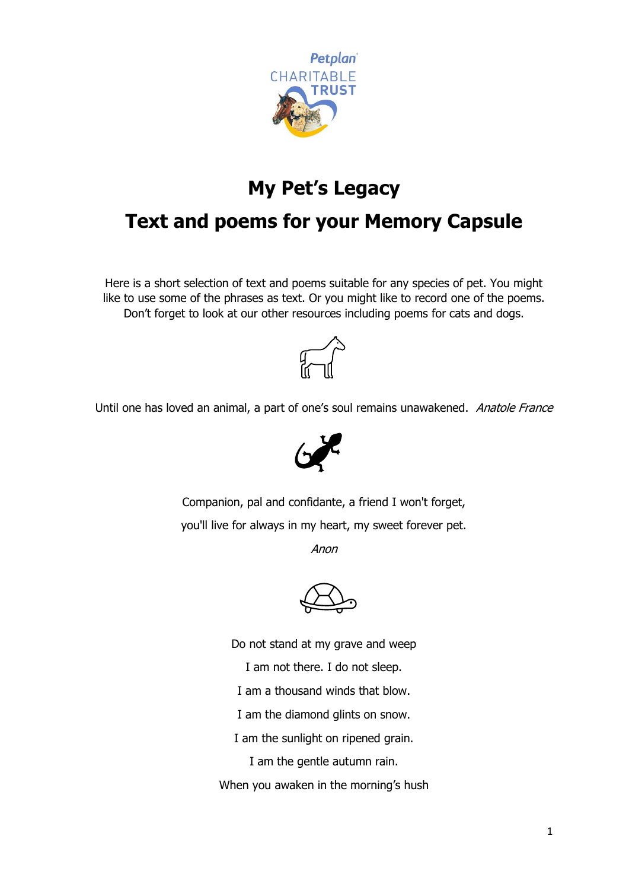

# **My Pet's Legacy**

## **Text and poems for your Memory Capsule**

Here is a short selection of text and poems suitable for any species of pet. You might like to use some of the phrases as text. Or you might like to record one of the poems. Don't forget to look at our other resources including poems for cats and dogs.



Until one has loved an animal, a part of one's soul remains unawakened. Anatole France



Companion, pal and confidante, a friend I won't forget, you'll live for always in my heart, my sweet forever pet.

Anon

Do not stand at my grave and weep

I am not there. I do not sleep.

I am a thousand winds that blow.

I am the diamond glints on snow.

I am the sunlight on ripened grain.

I am the gentle autumn rain.

When you awaken in the morning's hush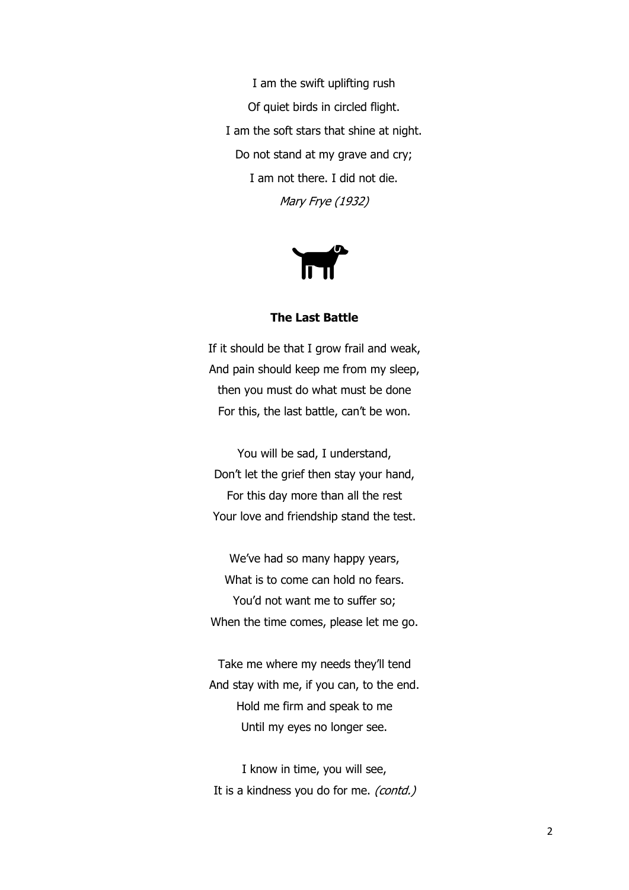I am the swift uplifting rush Of quiet birds in circled flight. I am the soft stars that shine at night. Do not stand at my grave and cry; I am not there. I did not die. Mary Frye (1932)



## **The Last Battle**

If it should be that I grow frail and weak, And pain should keep me from my sleep, then you must do what must be done For this, the last battle, can't be won.

You will be sad, I understand, Don't let the grief then stay your hand, For this day more than all the rest Your love and friendship stand the test.

We've had so many happy years, What is to come can hold no fears. You'd not want me to suffer so; When the time comes, please let me go.

Take me where my needs they'll tend And stay with me, if you can, to the end. Hold me firm and speak to me Until my eyes no longer see.

I know in time, you will see, It is a kindness you do for me. (contd.)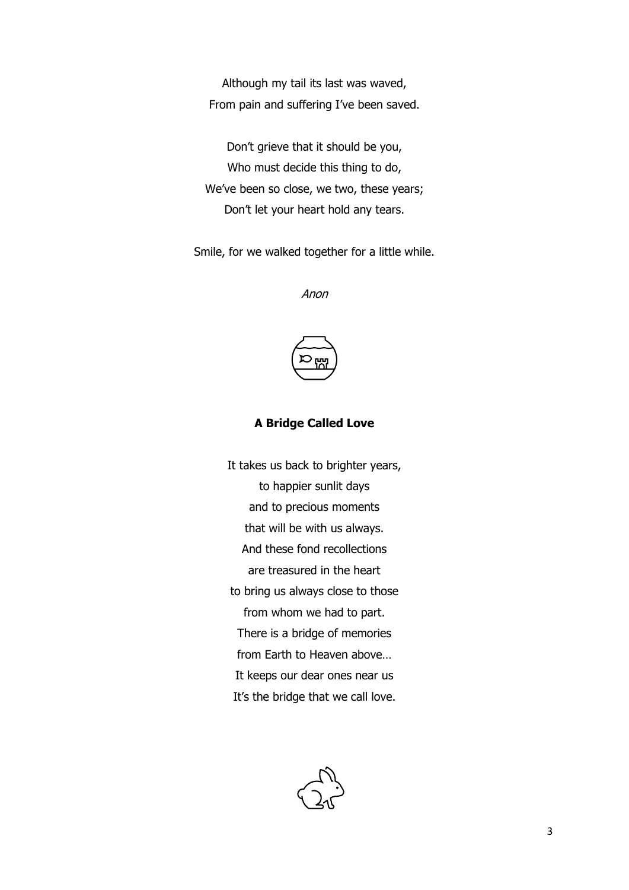Although my tail its last was waved, From pain and suffering I've been saved.

Don't grieve that it should be you, Who must decide this thing to do, We've been so close, we two, these years; Don't let your heart hold any tears.

Smile, for we walked together for a little while.

Anon



## **A Bridge Called Love**

It takes us back to brighter years, to happier sunlit days and to precious moments that will be with us always. And these fond recollections are treasured in the heart to bring us always close to those from whom we had to part. There is a bridge of memories from Earth to Heaven above… It keeps our dear ones near us It's the bridge that we call love.

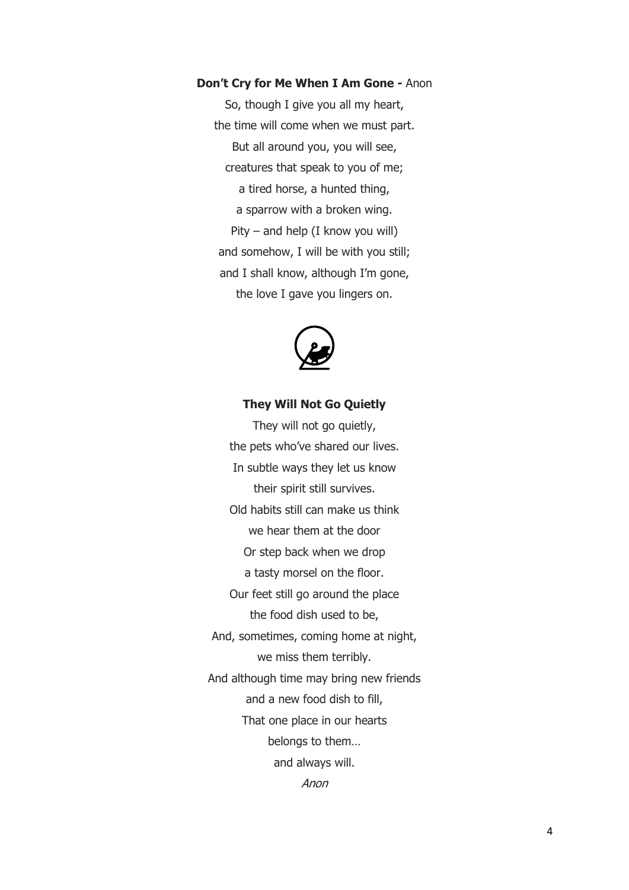## **Don't Cry for Me When I Am Gone -** Anon

So, though I give you all my heart, the time will come when we must part. But all around you, you will see, creatures that speak to you of me; a tired horse, a hunted thing, a sparrow with a broken wing. Pity – and help (I know you will) and somehow, I will be with you still; and I shall know, although I'm gone, the love I gave you lingers on.



## **They Will Not Go Quietly**

They will not go quietly, the pets who've shared our lives. In subtle ways they let us know their spirit still survives. Old habits still can make us think we hear them at the door Or step back when we drop a tasty morsel on the floor. Our feet still go around the place the food dish used to be, And, sometimes, coming home at night, we miss them terribly. And although time may bring new friends and a new food dish to fill, That one place in our hearts belongs to them… and always will. Anon